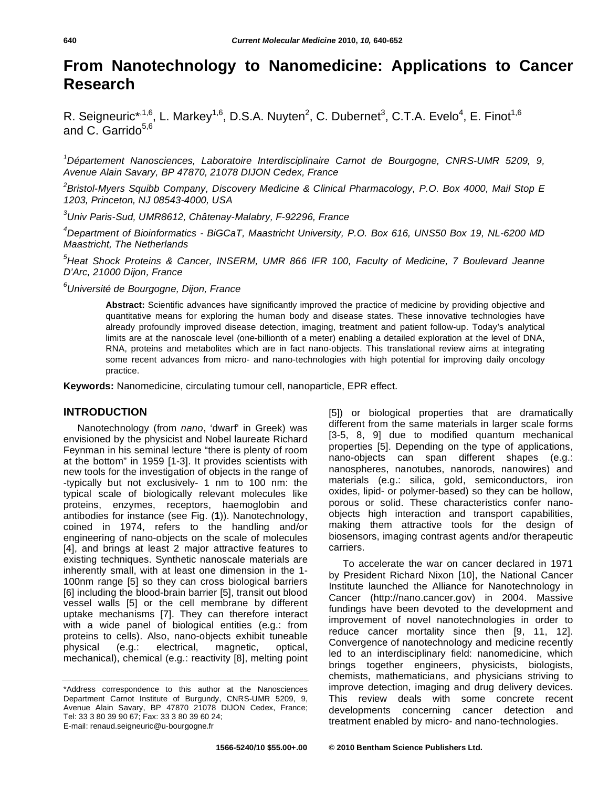# **From Nanotechnology to Nanomedicine: Applications to Cancer Research**

R. Seigneuric\*<sup>,1,6</sup>, L. Markey<sup>1,6</sup>, D.S.A. Nuyten<sup>2</sup>, C. Dubernet<sup>3</sup>, C.T.A. Evelo<sup>4</sup>, E. Finot<sup>1,6</sup> and  $C_{a}$  Garrido<sup>5,6</sup>

*1 Département Nanosciences, Laboratoire Interdisciplinaire Carnot de Bourgogne, CNRS-UMR 5209, 9, Avenue Alain Savary, BP 47870, 21078 DIJON Cedex, France* 

*2 Bristol-Myers Squibb Company, Discovery Medicine & Clinical Pharmacology, P.O. Box 4000, Mail Stop E 1203, Princeton, NJ 08543-4000, USA* 

*3 Univ Paris-Sud, UMR8612, Châtenay-Malabry, F-92296, France* 

*4 Department of Bioinformatics - BiGCaT, Maastricht University, P.O. Box 616, UNS50 Box 19, NL-6200 MD Maastricht, The Netherlands* 

*5 Heat Shock Proteins & Cancer, INSERM, UMR 866 IFR 100, Faculty of Medicine, 7 Boulevard Jeanne D'Arc, 21000 Dijon, France* 

*6 Université de Bourgogne, Dijon, France* 

**Abstract:** Scientific advances have significantly improved the practice of medicine by providing objective and quantitative means for exploring the human body and disease states. These innovative technologies have already profoundly improved disease detection, imaging, treatment and patient follow-up. Today's analytical limits are at the nanoscale level (one-billionth of a meter) enabling a detailed exploration at the level of DNA, RNA, proteins and metabolites which are in fact nano-objects. This translational review aims at integrating some recent advances from micro- and nano-technologies with high potential for improving daily oncology practice.

**Keywords:** Nanomedicine, circulating tumour cell, nanoparticle, EPR effect.

#### **INTRODUCTION**

Nanotechnology (from *nano*, 'dwarf' in Greek) was envisioned by the physicist and Nobel laureate Richard Feynman in his seminal lecture "there is plenty of room at the bottom" in 1959 [1-3]. It provides scientists with new tools for the investigation of objects in the range of -typically but not exclusively- 1 nm to 100 nm: the typical scale of biologically relevant molecules like proteins, enzymes, receptors, haemoglobin and antibodies for instance (see Fig. (**1**)). Nanotechnology, coined in 1974, refers to the handling and/or engineering of nano-objects on the scale of molecules [4], and brings at least 2 major attractive features to existing techniques. Synthetic nanoscale materials are inherently small, with at least one dimension in the 1- 100nm range [5] so they can cross biological barriers [6] including the blood-brain barrier [5], transit out blood vessel walls [5] or the cell membrane by different uptake mechanisms [7]. They can therefore interact with a wide panel of biological entities (e.g.: from proteins to cells). Also, nano-objects exhibit tuneable physical (e.g.: electrical, magnetic, optical, mechanical), chemical (e.g.: reactivity [8], melting point [5]) or biological properties that are dramatically different from the same materials in larger scale forms [3-5, 8, 9] due to modified quantum mechanical properties [5]. Depending on the type of applications, nano-objects can span different shapes (e.g.: nanospheres, nanotubes, nanorods, nanowires) and materials (e.g.: silica, gold, semiconductors, iron oxides, lipid- or polymer-based) so they can be hollow, porous or solid. These characteristics confer nanoobjects high interaction and transport capabilities, making them attractive tools for the design of biosensors, imaging contrast agents and/or therapeutic carriers.

To accelerate the war on cancer declared in 1971 by President Richard Nixon [10], the National Cancer Institute launched the Alliance for Nanotechnology in Cancer (http://nano.cancer.gov) in 2004. Massive fundings have been devoted to the development and improvement of novel nanotechnologies in order to reduce cancer mortality since then [9, 11, 12]. Convergence of nanotechnology and medicine recently led to an interdisciplinary field: nanomedicine, which brings together engineers, physicists, biologists, chemists, mathematicians, and physicians striving to improve detection, imaging and drug delivery devices. This review deals with some concrete recent developments concerning cancer detection and treatment enabled by micro- and nano-technologies.

<sup>\*</sup>Address correspondence to this author at the Nanosciences Department Carnot Institute of Burgundy, CNRS-UMR 5209, 9, Avenue Alain Savary, BP 47870 21078 DIJON Cedex, France; Tel: 33 3 80 39 90 67; Fax: 33 3 80 39 60 24; E-mail: renaud.seigneuric@u-bourgogne.fr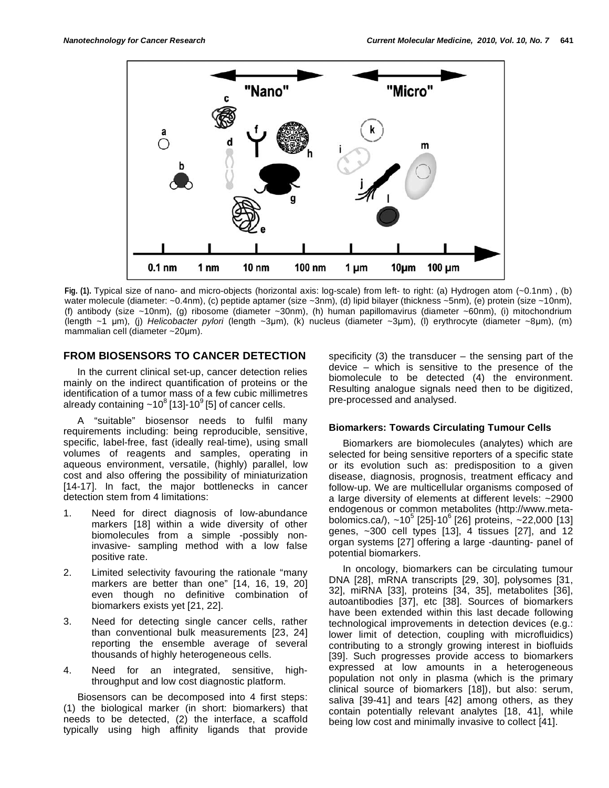

**Fig. (1).** Typical size of nano- and micro-objects (horizontal axis: log-scale) from left- to right: (a) Hydrogen atom (~0.1nm) , (b) water molecule (diameter: ~0.4nm), (c) peptide aptamer (size ~3nm), (d) lipid bilayer (thickness ~5nm), (e) protein (size ~10nm), (f) antibody (size ~10nm), (g) ribosome (diameter ~30nm), (h) human papillomavirus (diameter ~60nm), (i) mitochondrium (length ~1 m), (j) *Helicobacter pylori* (length ~3m), (k) nucleus (diameter ~3m), (l) erythrocyte (diameter ~8m), (m) mammalian cell (diameter ~20µm).

### **FROM BIOSENSORS TO CANCER DETECTION**

In the current clinical set-up, cancer detection relies mainly on the indirect quantification of proteins or the identification of a tumor mass of a few cubic millimetres already containing  $\sim 10^8$  [13]-10<sup>9</sup> [5] of cancer cells.

A "suitable" biosensor needs to fulfil many requirements including: being reproducible, sensitive, specific, label-free, fast (ideally real-time), using small volumes of reagents and samples, operating in aqueous environment, versatile, (highly) parallel, low cost and also offering the possibility of miniaturization [14-17]. In fact, the major bottlenecks in cancer detection stem from 4 limitations:

- 1. Need for direct diagnosis of low-abundance markers [18] within a wide diversity of other biomolecules from a simple -possibly noninvasive- sampling method with a low false positive rate.
- 2. Limited selectivity favouring the rationale "many markers are better than one" [14, 16, 19, 20] even though no definitive combination of biomarkers exists yet [21, 22].
- 3. Need for detecting single cancer cells, rather than conventional bulk measurements [23, 24] reporting the ensemble average of several thousands of highly heterogeneous cells.
- 4. Need for an integrated, sensitive, highthroughput and low cost diagnostic platform.

Biosensors can be decomposed into 4 first steps: (1) the biological marker (in short: biomarkers) that needs to be detected, (2) the interface, a scaffold typically using high affinity ligands that provide

specificity  $(3)$  the transducer – the sensing part of the device – which is sensitive to the presence of the biomolecule to be detected (4) the environment. Resulting analogue signals need then to be digitized, pre-processed and analysed.

### **Biomarkers: Towards Circulating Tumour Cells**

Biomarkers are biomolecules (analytes) which are selected for being sensitive reporters of a specific state or its evolution such as: predisposition to a given disease, diagnosis, prognosis, treatment efficacy and follow-up. We are multicellular organisms composed of a large diversity of elements at different levels: ~2900 endogenous or common metabolites (http://www.metabolomics.ca/),  $\sim$ 10<sup>5</sup> [25]-10<sup>6</sup> [26] proteins,  $\sim$ 22,000 [13] genes, ~300 cell types [13], 4 tissues [27], and 12 organ systems [27] offering a large -daunting- panel of potential biomarkers.

In oncology, biomarkers can be circulating tumour DNA [28], mRNA transcripts [29, 30], polysomes [31, 32], miRNA [33], proteins [34, 35], metabolites [36], autoantibodies [37], etc [38]. Sources of biomarkers have been extended within this last decade following technological improvements in detection devices (e.g.: lower limit of detection, coupling with microfluidics) contributing to a strongly growing interest in biofluids [39]. Such progresses provide access to biomarkers expressed at low amounts in a heterogeneous population not only in plasma (which is the primary clinical source of biomarkers [18]), but also: serum, saliva [39-41] and tears [42] among others, as they contain potentially relevant analytes [18, 41], while being low cost and minimally invasive to collect [41].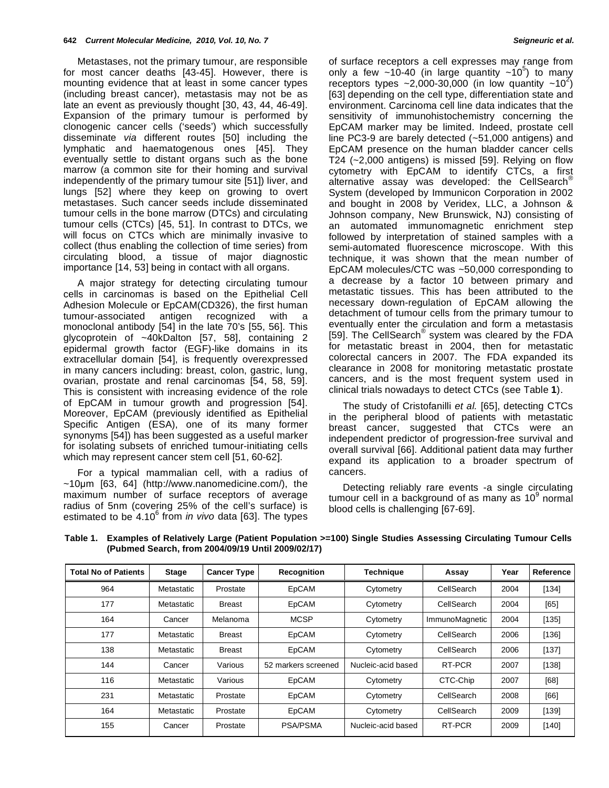Metastases, not the primary tumour, are responsible for most cancer deaths [43-45]. However, there is mounting evidence that at least in some cancer types (including breast cancer), metastasis may not be as late an event as previously thought [30, 43, 44, 46-49]. Expansion of the primary tumour is performed by clonogenic cancer cells ('seeds') which successfully disseminate *via* different routes [50] including the lymphatic and haematogenous ones [45]. They eventually settle to distant organs such as the bone marrow (a common site for their homing and survival independently of the primary tumour site [51]) liver, and lungs [52] where they keep on growing to overt metastases. Such cancer seeds include disseminated tumour cells in the bone marrow (DTCs) and circulating tumour cells (CTCs) [45, 51]. In contrast to DTCs, we will focus on CTCs which are minimally invasive to collect (thus enabling the collection of time series) from circulating blood, a tissue of major diagnostic importance [14, 53] being in contact with all organs.

A major strategy for detecting circulating tumour cells in carcinomas is based on the Epithelial Cell Adhesion Molecule or EpCAM(CD326), the first human tumour-associated antigen recognized with a monoclonal antibody [54] in the late 70's [55, 56]. This glycoprotein of ~40kDalton [57, 58], containing 2 epidermal growth factor (EGF)-like domains in its extracellular domain [54], is frequently overexpressed in many cancers including: breast, colon, gastric, lung, ovarian, prostate and renal carcinomas [54, 58, 59]. This is consistent with increasing evidence of the role of EpCAM in tumour growth and progression [54]. Moreover, EpCAM (previously identified as Epithelial Specific Antigen (ESA), one of its many former synonyms [54]) has been suggested as a useful marker for isolating subsets of enriched tumour-initiating cells which may represent cancer stem cell [51, 60-62].

For a typical mammalian cell, with a radius of  $~10\mu$ m [63, 64] (http://www.nanomedicine.com/), the maximum number of surface receptors of average radius of 5nm (covering 25% of the cell's surface) is estimated to be 4.10<sup>6</sup> from *in vivo* data [63]. The types of surface receptors a cell expresses may range from only a few  $\sim$ 10-40 (in large quantity  $\sim$ 10<sup>5</sup>) to many receptors types ~2,000-30,000 (in low quantity ~10<sup>2</sup>) [63] depending on the cell type, differentiation state and environment. Carcinoma cell line data indicates that the sensitivity of immunohistochemistry concerning the EpCAM marker may be limited. Indeed, prostate cell line PC3-9 are barely detected (~51,000 antigens) and EpCAM presence on the human bladder cancer cells T24 (~2,000 antigens) is missed [59]. Relying on flow cytometry with EpCAM to identify CTCs, a first alternative assay was developed: the CellSearch<sup>®</sup> System (developed by Immunicon Corporation in 2002 and bought in 2008 by Veridex, LLC, a Johnson & Johnson company, New Brunswick, NJ) consisting of an automated immunomagnetic enrichment step followed by interpretation of stained samples with a semi-automated fluorescence microscope. With this technique, it was shown that the mean number of EpCAM molecules/CTC was ~50,000 corresponding to a decrease by a factor 10 between primary and metastatic tissues. This has been attributed to the necessary down-regulation of EpCAM allowing the detachment of tumour cells from the primary tumour to eventually enter the circulation and form a metastasis [59]. The CellSearch<sup>®</sup> system was cleared by the FDA for metastatic breast in 2004, then for metastatic colorectal cancers in 2007. The FDA expanded its clearance in 2008 for monitoring metastatic prostate cancers, and is the most frequent system used in clinical trials nowadays to detect CTCs (see Table **1**).

The study of Cristofanilli *et al.* [65], detecting CTCs in the peripheral blood of patients with metastatic breast cancer, suggested that CTCs were an independent predictor of progression-free survival and overall survival [66]. Additional patient data may further expand its application to a broader spectrum of cancers.

Detecting reliably rare events -a single circulating tumour cell in a background of as many as 10 $^9$  normal blood cells is challenging [67-69].

| <b>Total No of Patients</b> | <b>Stage</b> | <b>Cancer Type</b> | <b>Recognition</b>  | <b>Technique</b>   | Assay          | Year | Reference |
|-----------------------------|--------------|--------------------|---------------------|--------------------|----------------|------|-----------|
| 964                         | Metastatic   | Prostate           | EpCAM               | Cytometry          | CellSearch     | 2004 | [134]     |
| 177                         | Metastatic   | <b>Breast</b>      | EpCAM               | Cytometry          | CellSearch     | 2004 | [65]      |
| 164                         | Cancer       | Melanoma           | <b>MCSP</b>         | Cytometry          | ImmunoMagnetic | 2004 | [135]     |
| 177                         | Metastatic   | <b>Breast</b>      | EpCAM               | Cytometry          | CellSearch     | 2006 | [136]     |
| 138                         | Metastatic   | <b>Breast</b>      | EpCAM               | Cytometry          | CellSearch     | 2006 | [137]     |
| 144                         | Cancer       | Various            | 52 markers screened | Nucleic-acid based | RT-PCR         | 2007 | [138]     |
| 116                         | Metastatic   | Various            | <b>EpCAM</b>        | Cytometry          | CTC-Chip       | 2007 | [68]      |
| 231                         | Metastatic   | Prostate           | EpCAM               | Cytometry          | CellSearch     | 2008 | [66]      |
| 164                         | Metastatic   | Prostate           | EpCAM               | Cytometry          | CellSearch     | 2009 | [139]     |
| 155                         | Cancer       | Prostate           | PSA/PSMA            | Nucleic-acid based | RT-PCR         | 2009 | [140]     |

**Table 1. Examples of Relatively Large (Patient Population >=100) Single Studies Assessing Circulating Tumour Cells (Pubmed Search, from 2004/09/19 Until 2009/02/17)**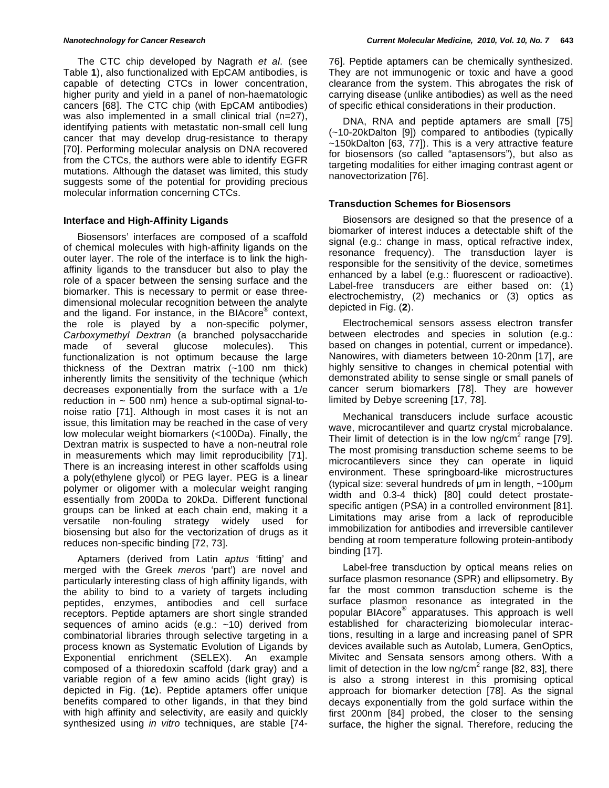The CTC chip developed by Nagrath *et al*. (see Table **1**), also functionalized with EpCAM antibodies, is capable of detecting CTCs in lower concentration, higher purity and yield in a panel of non-haematologic cancers [68]. The CTC chip (with EpCAM antibodies) was also implemented in a small clinical trial (n=27), identifying patients with metastatic non-small cell lung cancer that may develop drug-resistance to therapy [70]. Performing molecular analysis on DNA recovered from the CTCs, the authors were able to identify EGFR mutations. Although the dataset was limited, this study suggests some of the potential for providing precious molecular information concerning CTCs.

### **Interface and High-Affinity Ligands**

Biosensors' interfaces are composed of a scaffold of chemical molecules with high-affinity ligands on the outer layer. The role of the interface is to link the highaffinity ligands to the transducer but also to play the role of a spacer between the sensing surface and the biomarker. This is necessary to permit or ease threedimensional molecular recognition between the analyte and the ligand. For instance, in the BIAcore® context, the role is played by a non-specific polymer, *Carboxymethyl Dextran* (a branched polysaccharide made of several glucose molecules). This functionalization is not optimum because the large thickness of the Dextran matrix (~100 nm thick) inherently limits the sensitivity of the technique (which decreases exponentially from the surface with a 1/e reduction in  $\sim$  500 nm) hence a sub-optimal signal-tonoise ratio [71]. Although in most cases it is not an issue, this limitation may be reached in the case of very low molecular weight biomarkers (<100Da). Finally, the Dextran matrix is suspected to have a non-neutral role in measurements which may limit reproducibility [71]. There is an increasing interest in other scaffolds using a poly(ethylene glycol) or PEG layer. PEG is a linear polymer or oligomer with a molecular weight ranging essentially from 200Da to 20kDa. Different functional groups can be linked at each chain end, making it a versatile non-fouling strategy widely used for biosensing but also for the vectorization of drugs as it reduces non-specific binding [72, 73].

Aptamers (derived from Latin *aptus* 'fitting' and merged with the Greek *meros* 'part') are novel and particularly interesting class of high affinity ligands, with the ability to bind to a variety of targets including peptides, enzymes, antibodies and cell surface receptors. Peptide aptamers are short single stranded sequences of amino acids (e.g.:  $~10$ ) derived from combinatorial libraries through selective targeting in a process known as Systematic Evolution of Ligands by Exponential enrichment (SELEX). An example composed of a thioredoxin scaffold (dark gray) and a variable region of a few amino acids (light gray) is depicted in Fig. (**1c**). Peptide aptamers offer unique benefits compared to other ligands, in that they bind with high affinity and selectivity, are easily and quickly synthesized using *in vitro* techniques, are stable [7476]. Peptide aptamers can be chemically synthesized. They are not immunogenic or toxic and have a good clearance from the system. This abrogates the risk of carrying disease (unlike antibodies) as well as the need of specific ethical considerations in their production.

DNA, RNA and peptide aptamers are small [75] (~10-20kDalton [9]) compared to antibodies (typically ~150kDalton [63, 77]). This is a very attractive feature for biosensors (so called "aptasensors"), but also as targeting modalities for either imaging contrast agent or nanovectorization [76].

### **Transduction Schemes for Biosensors**

Biosensors are designed so that the presence of a biomarker of interest induces a detectable shift of the signal (e.g.: change in mass, optical refractive index, resonance frequency). The transduction layer is responsible for the sensitivity of the device, sometimes enhanced by a label (e.g.: fluorescent or radioactive). Label-free transducers are either based on: (1) electrochemistry, (2) mechanics or (3) optics as depicted in Fig. (**2**).

Electrochemical sensors assess electron transfer between electrodes and species in solution (e.g.: based on changes in potential, current or impedance). Nanowires, with diameters between 10-20nm [17], are highly sensitive to changes in chemical potential with demonstrated ability to sense single or small panels of cancer serum biomarkers [78]. They are however limited by Debye screening [17, 78].

Mechanical transducers include surface acoustic wave, microcantilever and quartz crystal microbalance. Their limit of detection is in the low ng/cm<sup>2</sup> range [79]. The most promising transduction scheme seems to be microcantilevers since they can operate in liquid environment. These springboard-like microstructures (typical size: several hundreds of  $\mu$ m in length,  $\sim$ 100 $\mu$ m width and 0.3-4 thick) [80] could detect prostatespecific antigen (PSA) in a controlled environment [81]. Limitations may arise from a lack of reproducible immobilization for antibodies and irreversible cantilever bending at room temperature following protein-antibody binding [17].

Label-free transduction by optical means relies on surface plasmon resonance (SPR) and ellipsometry. By far the most common transduction scheme is the surface plasmon resonance as integrated in the popular BIAcore® apparatuses. This approach is well established for characterizing biomolecular interactions, resulting in a large and increasing panel of SPR devices available such as Autolab, Lumera, GenOptics, Mivitec and Sensata sensors among others. With a limit of detection in the low ng/cm<sup>2</sup> range [82, 83], there is also a strong interest in this promising optical approach for biomarker detection [78]. As the signal decays exponentially from the gold surface within the first 200nm [84] probed, the closer to the sensing surface, the higher the signal. Therefore, reducing the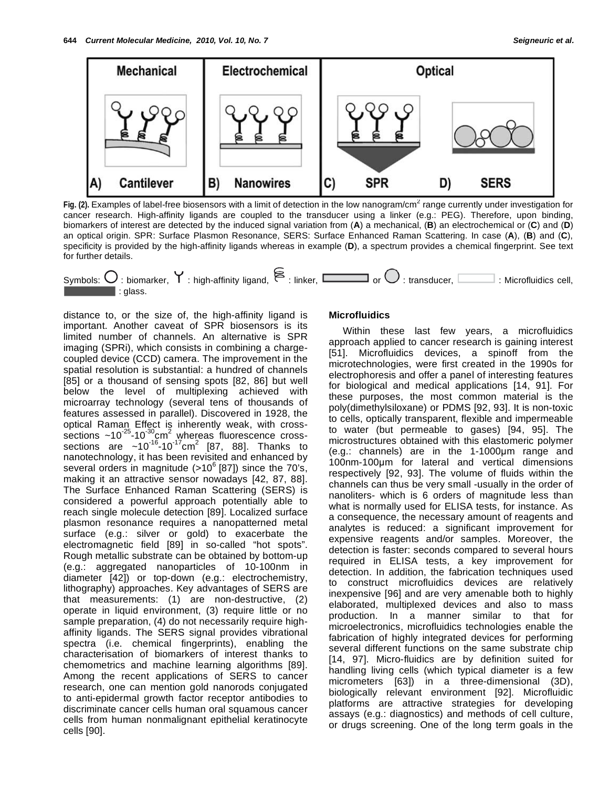

Fig. (2). Examples of label-free biosensors with a limit of detection in the low nanogram/cm<sup>2</sup> range currently under investigation for cancer research. High-affinity ligands are coupled to the transducer using a linker (e.g.: PEG). Therefore, upon binding, biomarkers of interest are detected by the induced signal variation from (**A**) a mechanical, (**B**) an electrochemical or (**C**) and (**D**) an optical origin. SPR: Surface Plasmon Resonance, SERS: Surface Enhanced Raman Scattering. In case (**A**), (**B**) and (**C**), specificity is provided by the high-affinity ligands whereas in example (**D**), a spectrum provides a chemical fingerprint. See text for further details.



distance to, or the size of, the high-affinity ligand is important. Another caveat of SPR biosensors is its limited number of channels. An alternative is SPR imaging (SPRi), which consists in combining a chargecoupled device (CCD) camera. The improvement in the spatial resolution is substantial: a hundred of channels [85] or a thousand of sensing spots [82, 86] but well below the level of multiplexing achieved with microarray technology (several tens of thousands of features assessed in parallel). Discovered in 1928, the optical Raman Effect is inherently weak, with crosssections ~10<sup>-25</sup>-10<sup>-30</sup>cm<sup>2</sup> whereas fluorescence crosssections are ~10<sup>-16</sup>-10<sup>-17</sup>cm<sup>2</sup> [87, 88]. Thanks to nanotechnology, it has been revisited and enhanced by several orders in magnitude  $(>10^6 \, [87])$  since the 70's, making it an attractive sensor nowadays [42, 87, 88]. The Surface Enhanced Raman Scattering (SERS) is considered a powerful approach potentially able to reach single molecule detection [89]. Localized surface plasmon resonance requires a nanopatterned metal surface (e.g.: silver or gold) to exacerbate the electromagnetic field [89] in so-called "hot spots". Rough metallic substrate can be obtained by bottom-up (e.g.: aggregated nanoparticles of 10-100nm in diameter [42]) or top-down (e.g.: electrochemistry, lithography) approaches. Key advantages of SERS are that measurements: (1) are non-destructive, (2) operate in liquid environment, (3) require little or no sample preparation, (4) do not necessarily require highaffinity ligands. The SERS signal provides vibrational spectra (i.e. chemical fingerprints), enabling the characterisation of biomarkers of interest thanks to chemometrics and machine learning algorithms [89]. Among the recent applications of SERS to cancer research, one can mention gold nanorods conjugated to anti-epidermal growth factor receptor antibodies to discriminate cancer cells human oral squamous cancer cells from human nonmalignant epithelial keratinocyte cells [90].

### **Microfluidics**

Within these last few years, a microfluidics approach applied to cancer research is gaining interest [51]. Microfluidics devices, a spinoff from the microtechnologies, were first created in the 1990s for electrophoresis and offer a panel of interesting features for biological and medical applications [14, 91]. For these purposes, the most common material is the poly(dimethylsiloxane) or PDMS [92, 93]. It is non-toxic to cells, optically transparent, flexible and impermeable to water (but permeable to gases) [94, 95]. The microstructures obtained with this elastomeric polymer  $(e.q.:$  channels) are in the 1-1000 $µm$  range and 100nm-100um for lateral and vertical dimensions respectively [92, 93]. The volume of fluids within the channels can thus be very small -usually in the order of nanoliters- which is 6 orders of magnitude less than what is normally used for ELISA tests, for instance. As a consequence, the necessary amount of reagents and analytes is reduced: a significant improvement for expensive reagents and/or samples. Moreover, the detection is faster: seconds compared to several hours required in ELISA tests, a key improvement for detection. In addition, the fabrication techniques used to construct microfluidics devices are relatively inexpensive [96] and are very amenable both to highly elaborated, multiplexed devices and also to mass production. In a manner similar to that for microelectronics, microfluidics technologies enable the fabrication of highly integrated devices for performing several different functions on the same substrate chip [14, 97]. Micro-fluidics are by definition suited for handling living cells (which typical diameter is a few micrometers [63]) in a three-dimensional (3D), biologically relevant environment [92]. Microfluidic platforms are attractive strategies for developing assays (e.g.: diagnostics) and methods of cell culture, or drugs screening. One of the long term goals in the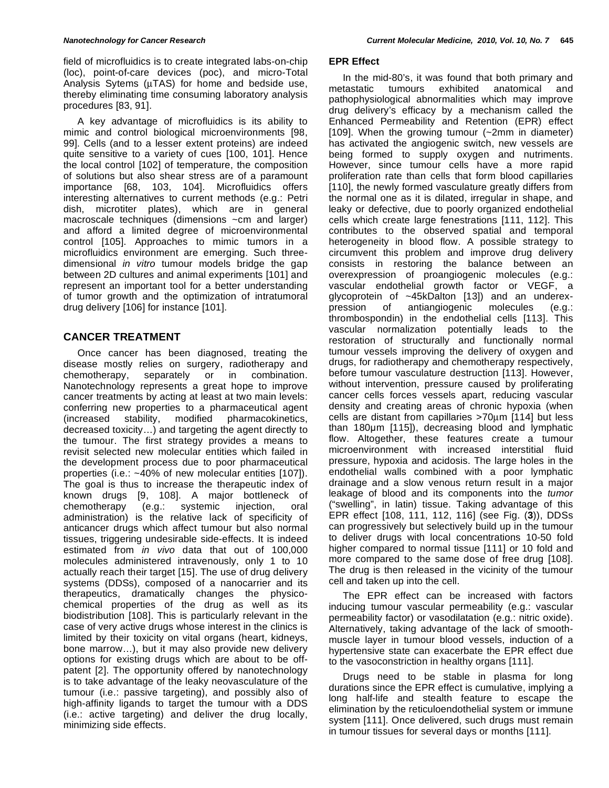field of microfluidics is to create integrated labs-on-chip (loc), point-of-care devices (poc), and micro-Total Analysis Sytems (μTAS) for home and bedside use, thereby eliminating time consuming laboratory analysis procedures [83, 91].

A key advantage of microfluidics is its ability to mimic and control biological microenvironments [98, 99]. Cells (and to a lesser extent proteins) are indeed quite sensitive to a variety of cues [100, 101]. Hence the local control [102] of temperature, the composition of solutions but also shear stress are of a paramount importance [68, 103, 104]. Microfluidics offers interesting alternatives to current methods (e.g.: Petri dish, microtiter plates), which are in general macroscale techniques (dimensions ~cm and larger) and afford a limited degree of microenvironmental control [105]. Approaches to mimic tumors in a microfluidics environment are emerging. Such threedimensional *in vitro* tumour models bridge the gap between 2D cultures and animal experiments [101] and represent an important tool for a better understanding of tumor growth and the optimization of intratumoral drug delivery [106] for instance [101].

## **CANCER TREATMENT**

Once cancer has been diagnosed, treating the disease mostly relies on surgery, radiotherapy and chemotherapy, separately or in combination. Nanotechnology represents a great hope to improve cancer treatments by acting at least at two main levels: conferring new properties to a pharmaceutical agent (increased stability, modified pharmacokinetics, decreased toxicity…) and targeting the agent directly to the tumour. The first strategy provides a means to revisit selected new molecular entities which failed in the development process due to poor pharmaceutical properties (i.e.: ~40% of new molecular entities [107]). The goal is thus to increase the therapeutic index of known drugs [9, 108]. A major bottleneck of chemotherapy (e.g.: systemic injection, oral administration) is the relative lack of specificity of anticancer drugs which affect tumour but also normal tissues, triggering undesirable side-effects. It is indeed estimated from *in vivo* data that out of 100,000 molecules administered intravenously, only 1 to 10 actually reach their target [15]. The use of drug delivery systems (DDSs), composed of a nanocarrier and its therapeutics, dramatically changes the physicochemical properties of the drug as well as its biodistribution [108]. This is particularly relevant in the case of very active drugs whose interest in the clinics is limited by their toxicity on vital organs (heart, kidneys, bone marrow…), but it may also provide new delivery options for existing drugs which are about to be offpatent [2]. The opportunity offered by nanotechnology is to take advantage of the leaky neovasculature of the tumour (i.e.: passive targeting), and possibly also of high-affinity ligands to target the tumour with a DDS (i.e.: active targeting) and deliver the drug locally, minimizing side effects.

### **EPR Effect**

In the mid-80's, it was found that both primary and metastatic tumours exhibited anatomical and pathophysiological abnormalities which may improve drug delivery's efficacy by a mechanism called the Enhanced Permeability and Retention (EPR) effect [109]. When the growing tumour (~2mm in diameter) has activated the angiogenic switch, new vessels are being formed to supply oxygen and nutriments. However, since tumour cells have a more rapid proliferation rate than cells that form blood capillaries [110], the newly formed vasculature greatly differs from the normal one as it is dilated, irregular in shape, and leaky or defective, due to poorly organized endothelial cells which create large fenestrations [111, 112]. This contributes to the observed spatial and temporal heterogeneity in blood flow. A possible strategy to circumvent this problem and improve drug delivery consists in restoring the balance between an overexpression of proangiogenic molecules (e.g.: vascular endothelial growth factor or VEGF, a glycoprotein of ~45kDalton [13]) and an underexpression of antiangiogenic molecules (e.g.: thrombospondin) in the endothelial cells [113]. This vascular normalization potentially leads to the restoration of structurally and functionally normal tumour vessels improving the delivery of oxygen and drugs, for radiotherapy and chemotherapy respectively, before tumour vasculature destruction [113]. However, without intervention, pressure caused by proliferating cancer cells forces vessels apart, reducing vascular density and creating areas of chronic hypoxia (when cells are distant from capillaries >70μm [114] but less than  $180 \mu m$  [115]), decreasing blood and lymphatic flow. Altogether, these features create a tumour microenvironment with increased interstitial fluid pressure, hypoxia and acidosis. The large holes in the endothelial walls combined with a poor lymphatic drainage and a slow venous return result in a major leakage of blood and its components into the *tumor* ("swelling", in latin) tissue. Taking advantage of this EPR effect [108, 111, 112, 116] (see Fig. (**3**)), DDSs can progressively but selectively build up in the tumour to deliver drugs with local concentrations 10-50 fold higher compared to normal tissue [111] or 10 fold and more compared to the same dose of free drug [108]. The drug is then released in the vicinity of the tumour cell and taken up into the cell.

The EPR effect can be increased with factors inducing tumour vascular permeability (e.g.: vascular permeability factor) or vasodilatation (e.g.: nitric oxide). Alternatively, taking advantage of the lack of smoothmuscle layer in tumour blood vessels, induction of a hypertensive state can exacerbate the EPR effect due to the vasoconstriction in healthy organs [111].

Drugs need to be stable in plasma for long durations since the EPR effect is cumulative, implying a long half-life and stealth feature to escape the elimination by the reticuloendothelial system or immune system [111]. Once delivered, such drugs must remain in tumour tissues for several days or months [111].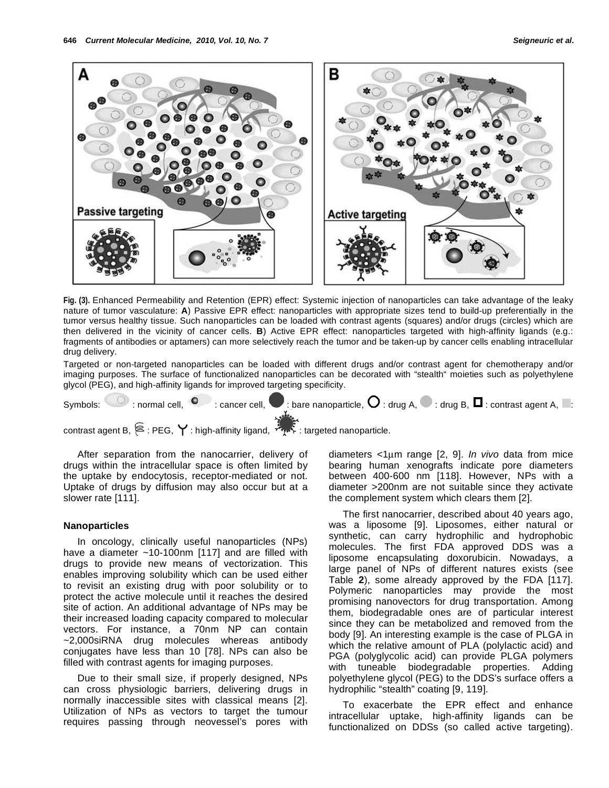

**Fig. (3).** Enhanced Permeability and Retention (EPR) effect: Systemic injection of nanoparticles can take advantage of the leaky nature of tumor vasculature: **A**) Passive EPR effect: nanoparticles with appropriate sizes tend to build-up preferentially in the tumor versus healthy tissue. Such nanoparticles can be loaded with contrast agents (squares) and/or drugs (circles) which are then delivered in the vicinity of cancer cells. **B**) Active EPR effect: nanoparticles targeted with high-affinity ligands (e.g.: fragments of antibodies or aptamers) can more selectively reach the tumor and be taken-up by cancer cells enabling intracellular drug delivery.

Targeted or non-targeted nanoparticles can be loaded with different drugs and/or contrast agent for chemotherapy and/or imaging purposes. The surface of functionalized nanoparticles can be decorated with "stealth" moieties such as polyethylene glycol (PEG), and high-affinity ligands for improved targeting specificity.

|  |  |  | Symbols: $\Box$ : normal cell, $\Box$ : cancer cell, $\Box$ : bare nanoparticle, $\Box$ : drug A, $\Box$ : drug B, $\Box$ : contrast agent A, $\Box$ : |  |  |  |  |
|--|--|--|--------------------------------------------------------------------------------------------------------------------------------------------------------|--|--|--|--|
|  |  |  |                                                                                                                                                        |  |  |  |  |

contrast agent B,  $\approx$ : PEG,  $\blacktriangledown$ : high-affinity ligand,  $\sim$  : targeted nanoparticle.

After separation from the nanocarrier, delivery of drugs within the intracellular space is often limited by the uptake by endocytosis, receptor-mediated or not. Uptake of drugs by diffusion may also occur but at a slower rate [111].

#### **Nanoparticles**

In oncology, clinically useful nanoparticles (NPs) have a diameter ~10-100nm [117] and are filled with drugs to provide new means of vectorization. This enables improving solubility which can be used either to revisit an existing drug with poor solubility or to protect the active molecule until it reaches the desired site of action. An additional advantage of NPs may be their increased loading capacity compared to molecular vectors. For instance, a 70nm NP can contain ~2,000siRNA drug molecules whereas antibody conjugates have less than 10 [78]. NPs can also be filled with contrast agents for imaging purposes.

Due to their small size, if properly designed, NPs can cross physiologic barriers, delivering drugs in normally inaccessible sites with classical means [2]. Utilization of NPs as vectors to target the tumour requires passing through neovessel's pores with diameters <1μm range [2, 9]. *In vivo* data from mice bearing human xenografts indicate pore diameters between 400-600 nm [118]. However, NPs with a diameter >200nm are not suitable since they activate the complement system which clears them [2].

The first nanocarrier, described about 40 years ago, was a liposome [9]. Liposomes, either natural or synthetic, can carry hydrophilic and hydrophobic molecules. The first FDA approved DDS was a liposome encapsulating doxorubicin. Nowadays, a large panel of NPs of different natures exists (see Table **2**), some already approved by the FDA [117]. Polymeric nanoparticles may provide the most promising nanovectors for drug transportation. Among them, biodegradable ones are of particular interest since they can be metabolized and removed from the body [9]. An interesting example is the case of PLGA in which the relative amount of PLA (polylactic acid) and PGA (polyglycolic acid) can provide PLGA polymers with tuneable biodegradable properties. Adding polyethylene glycol (PEG) to the DDS's surface offers a hydrophilic "stealth" coating [9, 119].

To exacerbate the EPR effect and enhance intracellular uptake, high-affinity ligands can be functionalized on DDSs (so called active targeting).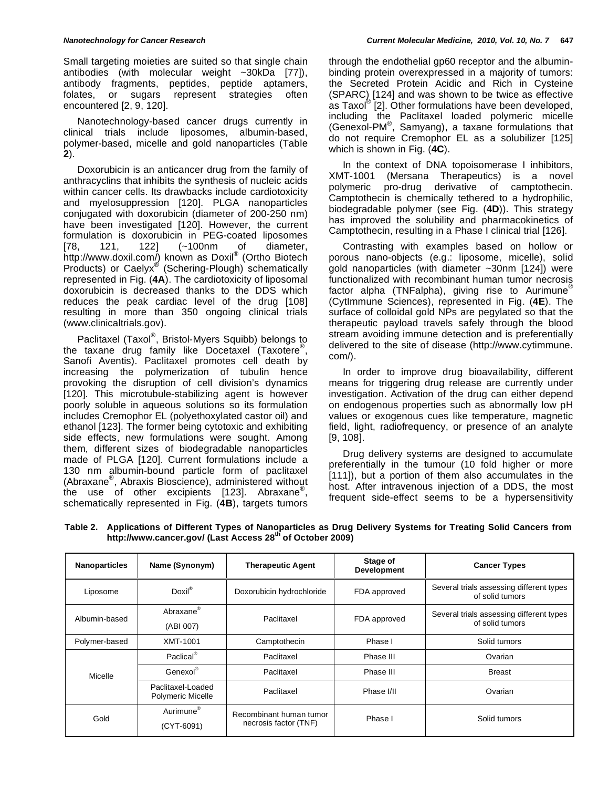Small targeting moieties are suited so that single chain antibodies (with molecular weight ~30kDa [77]), antibody fragments, peptides, peptide aptamers, folates, or sugars represent strategies often encountered [2, 9, 120].

Nanotechnology-based cancer drugs currently in clinical trials include liposomes, albumin-based, polymer-based, micelle and gold nanoparticles (Table **2**).

Doxorubicin is an anticancer drug from the family of anthracyclins that inhibits the synthesis of nucleic acids within cancer cells. Its drawbacks include cardiotoxicity and myelosuppression [120]. PLGA nanoparticles conjugated with doxorubicin (diameter of 200-250 nm) have been investigated [120]. However, the current formulation is doxorubicin in PEG-coated liposomes [78, 121, 122] (~100nm of diameter, http://www.doxil.com/) known as Doxil<sup>®</sup> (Ortho Biotech Products) or Caelyx<sup>®</sup> (Schering-Plough) schematically represented in Fig. (**4A**). The cardiotoxicity of liposomal doxorubicin is decreased thanks to the DDS which reduces the peak cardiac level of the drug [108] resulting in more than 350 ongoing clinical trials (www.clinicaltrials.gov).

Paclitaxel (Taxol®, Bristol-Myers Squibb) belongs to the taxane drug family like Docetaxel (Taxotere®, Sanofi Aventis). Paclitaxel promotes cell death by increasing the polymerization of tubulin hence provoking the disruption of cell division's dynamics [120]. This microtubule-stabilizing agent is however poorly soluble in aqueous solutions so its formulation includes Cremophor EL (polyethoxylated castor oil) and ethanol [123]. The former being cytotoxic and exhibiting side effects, new formulations were sought. Among them, different sizes of biodegradable nanoparticles made of PLGA [120]. Current formulations include a 130 nm albumin-bound particle form of paclitaxel (Abraxane®, Abraxis Bioscience), administered without the use of other excipients [123]. Abraxane®, schematically represented in Fig. (**4B**), targets tumors through the endothelial gp60 receptor and the albuminbinding protein overexpressed in a majority of tumors: the Secreted Protein Acidic and Rich in Cysteine (SPARC) [124] and was shown to be twice as effective as Taxol<sup>®</sup> [2]. Other formulations have been developed, including the Paclitaxel loaded polymeric micelle (Genexol-PM® , Samyang), a taxane formulations that do not require Cremophor EL as a solubilizer [125] which is shown in Fig. (**4C**).

In the context of DNA topoisomerase I inhibitors, XMT-1001 (Mersana Therapeutics) is a novel polymeric pro-drug derivative of camptothecin. Camptothecin is chemically tethered to a hydrophilic, biodegradable polymer (see Fig. (**4D**)). This strategy has improved the solubility and pharmacokinetics of Camptothecin, resulting in a Phase I clinical trial [126].

Contrasting with examples based on hollow or porous nano-objects (e.g.: liposome, micelle), solid gold nanoparticles (with diameter ~30nm [124]) were functionalized with recombinant human tumor necrosis factor alpha (TNFalpha), giving rise to Aurimune® (CytImmune Sciences), represented in Fig. (**4E**). The surface of colloidal gold NPs are pegylated so that the therapeutic payload travels safely through the blood stream avoiding immune detection and is preferentially delivered to the site of disease (http://www.cytimmune. com/).

In order to improve drug bioavailability, different means for triggering drug release are currently under investigation. Activation of the drug can either depend on endogenous properties such as abnormally low pH values or exogenous cues like temperature, magnetic field, light, radiofrequency, or presence of an analyte [9, 108].

Drug delivery systems are designed to accumulate preferentially in the tumour (10 fold higher or more [111]), but a portion of them also accumulates in the host. After intravenous injection of a DDS, the most frequent side-effect seems to be a hypersensitivity

| <b>Nanoparticles</b> | Name (Synonym)                                | <b>Therapeutic Agent</b>                         | Stage of<br><b>Development</b> | <b>Cancer Types</b>                                         |  |  |
|----------------------|-----------------------------------------------|--------------------------------------------------|--------------------------------|-------------------------------------------------------------|--|--|
| Liposome             | Doxil®                                        | Doxorubicin hydrochloride                        | FDA approved                   | Several trials assessing different types<br>of solid tumors |  |  |
| Albumin-based        | Abraxane®<br>(ABI 007)                        | FDA approved<br>Paclitaxel                       |                                | Several trials assessing different types<br>of solid tumors |  |  |
| Polymer-based        | XMT-1001                                      | Camptothecin                                     | Phase I                        | Solid tumors                                                |  |  |
|                      | Paclical <sup>®</sup>                         | Paclitaxel                                       | Phase III                      | Ovarian                                                     |  |  |
| Micelle              | Genexol®                                      | Paclitaxel                                       | Phase III                      | <b>Breast</b>                                               |  |  |
|                      | Paclitaxel-Loaded<br><b>Polymeric Micelle</b> | Paclitaxel                                       | Phase I/II                     | Ovarian                                                     |  |  |
| Gold                 | Aurimune <sup>®</sup><br>$(CYT-6091)$         | Recombinant human tumor<br>necrosis factor (TNF) | Phase I                        | Solid tumors                                                |  |  |

**Table 2. Applications of Different Types of Nanoparticles as Drug Delivery Systems for Treating Solid Cancers from http://www.cancer.gov/ (Last Access 28th of October 2009)**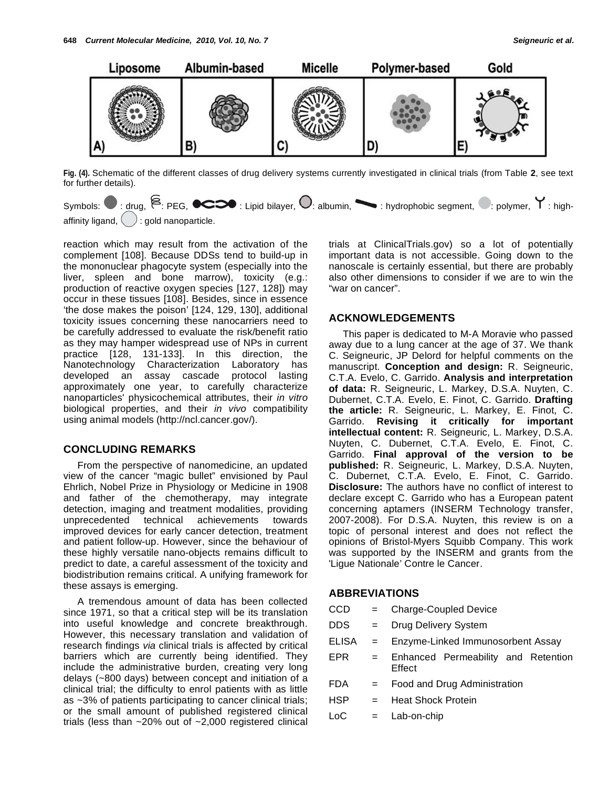

**Fig. (4).** Schematic of the different classes of drug delivery systems currently investigated in clinical trials (from Table **2**, see text for further details).



reaction which may result from the activation of the complement [108]. Because DDSs tend to build-up in the mononuclear phagocyte system (especially into the liver, spleen and bone marrow), toxicity (e.g.: production of reactive oxygen species [127, 128]) may occur in these tissues [108]. Besides, since in essence 'the dose makes the poison' [124, 129, 130], additional toxicity issues concerning these nanocarriers need to be carefully addressed to evaluate the risk/benefit ratio as they may hamper widespread use of NPs in current practice [128, 131-133]. In this direction, the Nanotechnology Characterization Laboratory has developed an assay cascade protocol lasting approximately one year, to carefully characterize nanoparticles' physicochemical attributes, their *in vitro* biological properties, and their *in vivo* compatibility using animal models (http://ncl.cancer.gov/).

### **CONCLUDING REMARKS**

From the perspective of nanomedicine, an updated view of the cancer "magic bullet" envisioned by Paul Ehrlich, Nobel Prize in Physiology or Medicine in 1908 and father of the chemotherapy, may integrate detection, imaging and treatment modalities, providing unprecedented technical achievements towards improved devices for early cancer detection, treatment and patient follow-up. However, since the behaviour of these highly versatile nano-objects remains difficult to predict to date, a careful assessment of the toxicity and biodistribution remains critical. A unifying framework for these assays is emerging.

A tremendous amount of data has been collected since 1971, so that a critical step will be its translation into useful knowledge and concrete breakthrough. However, this necessary translation and validation of research findings *via* clinical trials is affected by critical barriers which are currently being identified. They include the administrative burden, creating very long delays (~800 days) between concept and initiation of a clinical trial; the difficulty to enrol patients with as little as ~3% of patients participating to cancer clinical trials; or the small amount of published registered clinical trials (less than ~20% out of ~2,000 registered clinical

trials at ClinicalTrials.gov) so a lot of potentially important data is not accessible. Going down to the nanoscale is certainly essential, but there are probably also other dimensions to consider if we are to win the "war on cancer".

### **ACKNOWLEDGEMENTS**

This paper is dedicated to M-A Moravie who passed away due to a lung cancer at the age of 37. We thank C. Seigneuric, JP Delord for helpful comments on the manuscript. **Conception and design:** R. Seigneuric, C.T.A. Evelo, C. Garrido. **Analysis and interpretation of data:** R. Seigneuric, L. Markey, D.S.A. Nuyten, C. Dubernet, C.T.A. Evelo, E. Finot, C. Garrido. **Drafting the article:** R. Seigneuric, L. Markey, E. Finot, C. Garrido. **Revising it critically for important intellectual content:** R. Seigneuric, L. Markey, D.S.A. Nuyten, C. Dubernet, C.T.A. Evelo, E. Finot, C. Garrido. **Final approval of the version to be published:** R. Seigneuric, L. Markey, D.S.A. Nuyten, C. Dubernet, C.T.A. Evelo, E. Finot, C. Garrido. **Disclosure:** The authors have no conflict of interest to declare except C. Garrido who has a European patent concerning aptamers (INSERM Technology transfer, 2007-2008). For D.S.A. Nuyten, this review is on a topic of personal interest and does not reflect the opinions of Bristol-Myers Squibb Company. This work was supported by the INSERM and grants from the 'Ligue Nationale' Contre le Cancer.

### **ABBREVIATIONS**

| $=$ | <b>Charge-Coupled Device</b>                  |  |  |  |  |  |
|-----|-----------------------------------------------|--|--|--|--|--|
| $=$ | Drug Delivery System                          |  |  |  |  |  |
| $=$ | Enzyme-Linked Immunosorbent Assay             |  |  |  |  |  |
| $=$ | Enhanced Permeability and Retention<br>Effect |  |  |  |  |  |
| $=$ | Food and Drug Administration                  |  |  |  |  |  |
|     | <b>Heat Shock Protein</b>                     |  |  |  |  |  |
|     | Lab-on-chip                                   |  |  |  |  |  |
|     | $=$ $-$                                       |  |  |  |  |  |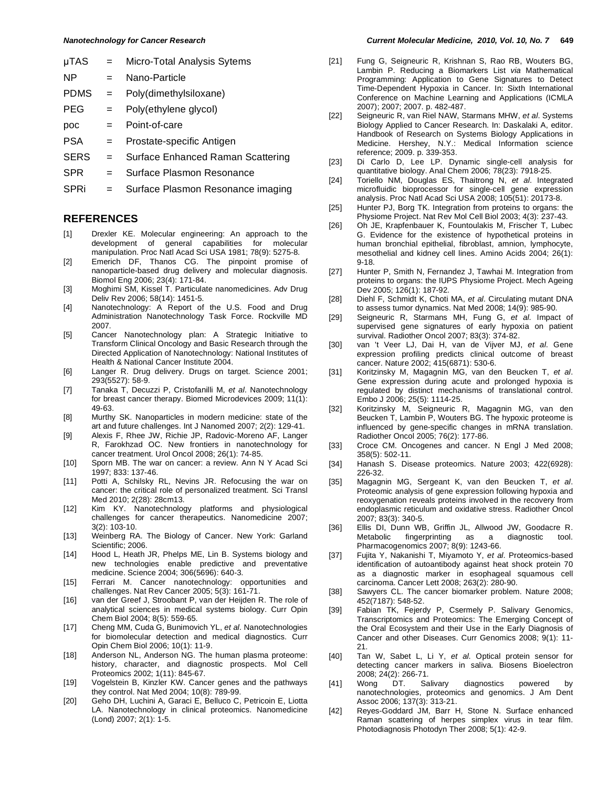- 
- SERS = Surface Enhanced Raman Scattering
- SPR = Surface Plasmon Resonance
- SPRi = Surface Plasmon Resonance imaging

### **REFERENCES**

- [1] Drexler KE. Molecular engineering: An approach to the development of general capabilities for molecular manipulation. Proc Natl Acad Sci USA 1981; 78(9): 5275-8.
- [2] Emerich DF, Thanos CG. The pinpoint promise of nanoparticle-based drug delivery and molecular diagnosis. Biomol Eng 2006; 23(4): 171-84.
- [3] Moghimi SM, Kissel T. Particulate nanomedicines. Adv Drug Deliv Rev 2006; 58(14): 1451-5.
- [4] Nanotechnology: A Report of the U.S. Food and Drug Administration Nanotechnology Task Force. Rockville MD 2007.
- [5] Cancer Nanotechnology plan: A Strategic Initiative to Transform Clinical Oncology and Basic Research through the Directed Application of Nanotechnology: National Institutes of Health & National Cancer Institute 2004.
- [6] Langer R. Drug delivery. Drugs on target. Science 2001; 293(5527): 58-9.
- [7] Tanaka T, Decuzzi P, Cristofanilli M, *et al*. Nanotechnology for breast cancer therapy. Biomed Microdevices 2009; 11(1): 49-63.
- [8] Murthy SK. Nanoparticles in modern medicine: state of the art and future challenges. Int J Nanomed 2007; 2(2): 129-41.
- [9] Alexis F, Rhee JW, Richie JP, Radovic-Moreno AF, Langer R, Farokhzad OC. New frontiers in nanotechnology for cancer treatment. Urol Oncol 2008; 26(1): 74-85.
- [10] Sporn MB. The war on cancer: a review. Ann N Y Acad Sci 1997; 833: 137-46.
- [11] Potti A, Schilsky RL, Nevins JR. Refocusing the war on cancer: the critical role of personalized treatment. Sci Transl Med 2010; 2(28): 28cm13.
- [12] Kim KY. Nanotechnology platforms and physiological challenges for cancer therapeutics. Nanomedicine 2007; 3(2): 103-10.
- [13] Weinberg RA. The Biology of Cancer. New York: Garland Scientific: 2006
- [14] Hood L, Heath JR, Phelps ME, Lin B. Systems biology and new technologies enable predictive and preventative medicine. Science 2004; 306(5696): 640-3.
- [15] Ferrari M. Cancer nanotechnology: opportunities and challenges. Nat Rev Cancer 2005; 5(3): 161-71.
- [16] van der Greef J, Stroobant P, van der Heijden R. The role of analytical sciences in medical systems biology. Curr Opin Chem Biol 2004; 8(5): 559-65.
- [17] Cheng MM, Cuda G, Bunimovich YL, *et al*. Nanotechnologies for biomolecular detection and medical diagnostics. Curr Opin Chem Biol 2006; 10(1): 11-9.
- [18] Anderson NL, Anderson NG. The human plasma proteome: history, character, and diagnostic prospects. Mol Cell Proteomics 2002; 1(11): 845-67.
- [19] Vogelstein B, Kinzler KW. Cancer genes and the pathways they control. Nat Med 2004; 10(8): 789-99.
- [20] Geho DH, Luchini A, Garaci E, Belluco C, Petricoin E, Liotta LA. Nanotechnology in clinical proteomics. Nanomedicine (Lond) 2007; 2(1): 1-5.
- [21] Fung G, Seigneuric R, Krishnan S, Rao RB, Wouters BG, Lambin P. Reducing a Biomarkers List *via* Mathematical Programming: Application to Gene Signatures to Detect Time-Dependent Hypoxia in Cancer. In: Sixth International Conference on Machine Learning and Applications (ICMLA 2007); 2007; 2007. p. 482-487.
- [22] Seigneuric R, van Riel NAW, Starmans MHW, *et al*. Systems Biology Applied to Cancer Research. In: Daskalaki A, editor. Handbook of Research on Systems Biology Applications in Medicine. Hershey, N.Y.: Medical Information science reference; 2009. p. 339-353.
- [23] Di Carlo D, Lee LP. Dynamic single-cell analysis for quantitative biology. Anal Chem 2006; 78(23): 7918-25.
- [24] Toriello NM, Douglas ES, Thaitrong N, *et al*. Integrated microfluidic bioprocessor for single-cell gene expression analysis. Proc Natl Acad Sci USA 2008; 105(51): 20173-8.
- [25] Hunter PJ, Borg TK. Integration from proteins to organs: the Physiome Project. Nat Rev Mol Cell Biol 2003; 4(3): 237-43.
- [26] Oh JE, Krapfenbauer K, Fountoulakis M, Frischer T, Lubec G. Evidence for the existence of hypothetical proteins in human bronchial epithelial, fibroblast, amnion, lymphocyte, mesothelial and kidney cell lines. Amino Acids 2004; 26(1): 9-18.
- [27] Hunter P, Smith N, Fernandez J, Tawhai M. Integration from proteins to organs: the IUPS Physiome Project. Mech Ageing Dev 2005; 126(1): 187-92.
- [28] Diehl F, Schmidt K, Choti MA, *et al*. Circulating mutant DNA to assess tumor dynamics. Nat Med 2008; 14(9): 985-90.
- [29] Seigneuric R, Starmans MH, Fung G, *et al*. Impact of supervised gene signatures of early hypoxia on patient survival. Radiother Oncol 2007; 83(3): 374-82.
- [30] van 't Veer LJ, Dai H, van de Vijver MJ, *et al*. Gene expression profiling predicts clinical outcome of breast cancer. Nature 2002; 415(6871): 530-6.
- [31] Koritzinsky M, Magagnin MG, van den Beucken T, *et al*. Gene expression during acute and prolonged hypoxia is regulated by distinct mechanisms of translational control. Embo J 2006; 25(5): 1114-25.
- [32] Koritzinsky M, Seigneuric R, Magagnin MG, van den Beucken T, Lambin P, Wouters BG. The hypoxic proteome is influenced by gene-specific changes in mRNA translation. Radiother Oncol 2005; 76(2): 177-86.
- [33] Croce CM. Oncogenes and cancer. N Engl J Med 2008; 358(5): 502-11.
- [34] Hanash S. Disease proteomics. Nature 2003; 422(6928): 226-32.
- [35] Magagnin MG, Sergeant K, van den Beucken T, *et al*. Proteomic analysis of gene expression following hypoxia and reoxygenation reveals proteins involved in the recovery from endoplasmic reticulum and oxidative stress. Radiother Oncol 2007; 83(3): 340-5.
- [36] Ellis DI, Dunn WB, Griffin JL, Allwood JW, Goodacre R. fingerprinting as a diagnostic tool. Pharmacogenomics 2007; 8(9): 1243-66.
- [37] Fujita Y, Nakanishi T, Miyamoto Y, *et al*. Proteomics-based identification of autoantibody against heat shock protein 70 as a diagnostic marker in esophageal squamous cell carcinoma. Cancer Lett 2008; 263(2): 280-90.
- [38] Sawyers CL. The cancer biomarker problem. Nature 2008; 452(7187): 548-52.
- [39] Fabian TK, Fejerdy P, Csermely P. Salivary Genomics, Transcriptomics and Proteomics: The Emerging Concept of the Oral Ecosystem and their Use in the Early Diagnosis of Cancer and other Diseases. Curr Genomics 2008; 9(1): 11- 21.
- [40] Tan W, Sabet L, Li Y, *et al*. Optical protein sensor for detecting cancer markers in saliva. Biosens Bioelectron 2008; 24(2): 266-71.<br>Wong DT. Sa
- [41] Wong DT. Salivary diagnostics powered by nanotechnologies, proteomics and genomics. J Am Dent Assoc 2006; 137(3): 313-21.
- [42] Reyes-Goddard JM, Barr H, Stone N. Surface enhanced Raman scattering of herpes simplex virus in tear film. Photodiagnosis Photodyn Ther 2008; 5(1): 42-9.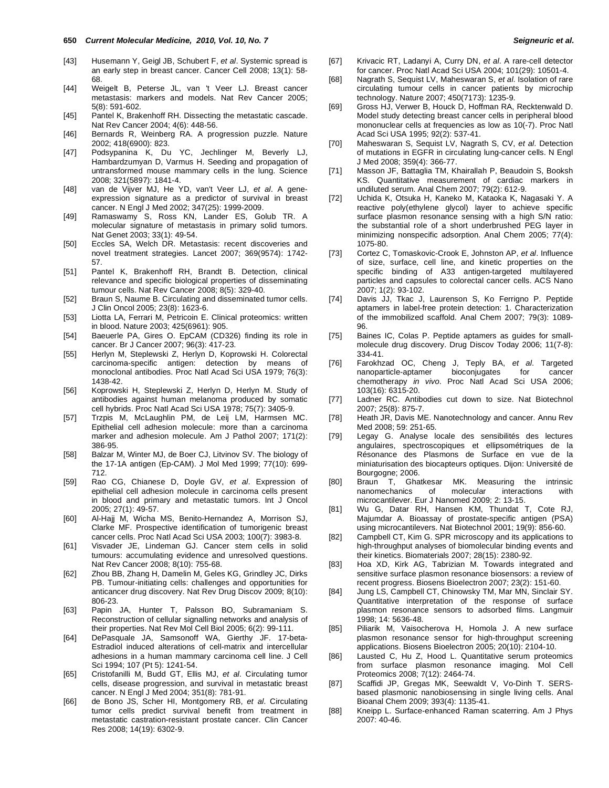- [43] Husemann Y, Geigl JB, Schubert F, *et al*. Systemic spread is an early step in breast cancer. Cancer Cell 2008; 13(1): 58- 68.
- [44] Weigelt B, Peterse JL, van 't Veer LJ. Breast cancer metastasis: markers and models. Nat Rev Cancer 2005; 5(8): 591-602.
- [45] Pantel K, Brakenhoff RH. Dissecting the metastatic cascade. Nat Rev Cancer 2004; 4(6): 448-56.
- [46] Bernards R, Weinberg RA. A progression puzzle. Nature 2002; 418(6900): 823.
- [47] Podsypanina K, Du YC, Jechlinger M, Beverly LJ, Hambardzumyan D, Varmus H. Seeding and propagation of untransformed mouse mammary cells in the lung. Science 2008; 321(5897): 1841-4.
- [48] van de Vijver MJ, He YD, van't Veer LJ, *et al*. A geneexpression signature as a predictor of survival in breast cancer. N Engl J Med 2002; 347(25): 1999-2009.
- [49] Ramaswamy S, Ross KN, Lander ES, Golub TR. A molecular signature of metastasis in primary solid tumors. Nat Genet 2003; 33(1): 49-54.
- [50] Eccles SA, Welch DR. Metastasis: recent discoveries and novel treatment strategies. Lancet 2007; 369(9574): 1742- 57.
- [51] Pantel K, Brakenhoff RH, Brandt B. Detection, clinical relevance and specific biological properties of disseminating tumour cells. Nat Rev Cancer 2008; 8(5): 329-40.
- [52] Braun S, Naume B. Circulating and disseminated tumor cells. J Clin Oncol 2005; 23(8): 1623-6.
- [53] Liotta LA, Ferrari M, Petricoin E. Clinical proteomics: written in blood. Nature 2003; 425(6961): 905.
- [54] Baeuerle PA, Gires O. EpCAM (CD326) finding its role in cancer. Br J Cancer 2007; 96(3): 417-23.
- [55] Herlyn M, Steplewski Z, Herlyn D, Koprowski H. Colorectal carcinoma-specific antigen: detection by means of monoclonal antibodies. Proc Natl Acad Sci USA 1979; 76(3): 1438-42.
- [56] Koprowski H, Steplewski Z, Herlyn D, Herlyn M. Study of antibodies against human melanoma produced by somatic cell hybrids. Proc Natl Acad Sci USA 1978; 75(7): 3405-9.
- [57] Trzpis M, McLaughlin PM, de Leij LM, Harmsen MC. Epithelial cell adhesion molecule: more than a carcinoma marker and adhesion molecule. Am J Pathol 2007; 171(2): 386-95.
- [58] Balzar M, Winter MJ, de Boer CJ, Litvinov SV. The biology of the 17-1A antigen (Ep-CAM). J Mol Med 1999; 77(10): 699- 712.
- [59] Rao CG, Chianese D, Doyle GV, *et al*. Expression of epithelial cell adhesion molecule in carcinoma cells present in blood and primary and metastatic tumors. Int J Oncol 2005; 27(1): 49-57.
- [60] Al-Hajj M, Wicha MS, Benito-Hernandez A, Morrison SJ, Clarke MF. Prospective identification of tumorigenic breast cancer cells. Proc Natl Acad Sci USA 2003; 100(7): 3983-8.
- [61] Visvader JE, Lindeman GJ. Cancer stem cells in solid tumours: accumulating evidence and unresolved questions. Nat Rev Cancer 2008; 8(10): 755-68.
- [62] Zhou BB, Zhang H, Damelin M, Geles KG, Grindley JC, Dirks PB. Tumour-initiating cells: challenges and opportunities for anticancer drug discovery. Nat Rev Drug Discov 2009; 8(10): 806-23.
- [63] Papin JA, Hunter T, Palsson BO, Subramaniam S. Reconstruction of cellular signalling networks and analysis of their properties. Nat Rev Mol Cell Biol 2005; 6(2): 99-111.
- [64] DePasquale JA, Samsonoff WA, Gierthy JF. 17-beta-Estradiol induced alterations of cell-matrix and intercellular adhesions in a human mammary carcinoma cell line. J Cell Sci 1994; 107 (Pt 5): 1241-54.
- [65] Cristofanilli M, Budd GT, Ellis MJ, *et al*. Circulating tumor cells, disease progression, and survival in metastatic breast cancer. N Engl J Med 2004; 351(8): 781-91.
- [66] de Bono JS, Scher HI, Montgomery RB, *et al*. Circulating tumor cells predict survival benefit from treatment in metastatic castration-resistant prostate cancer. Clin Cancer Res 2008; 14(19): 6302-9.
- [67] Krivacic RT, Ladanyi A, Curry DN, *et al*. A rare-cell detector for cancer. Proc Natl Acad Sci USA 2004; 101(29): 10501-4.
- [68] Nagrath S, Sequist LV, Maheswaran S, *et al*. Isolation of rare circulating tumour cells in cancer patients by microchip technology. Nature 2007; 450(7173): 1235-9.
- [69] Gross HJ, Verwer B, Houck D, Hoffman RA, Recktenwald D. Model study detecting breast cancer cells in peripheral blood mononuclear cells at frequencies as low as 10(-7). Proc Natl Acad Sci USA 1995; 92(2): 537-41.
- [70] Maheswaran S, Sequist LV, Nagrath S, CV, *et al*. Detection of mutations in EGFR in circulating lung-cancer cells. N Engl J Med 2008; 359(4): 366-77.
- [71] Masson JF, Battaglia TM, Khairallah P, Beaudoin S, Booksh KS. Quantitative measurement of cardiac markers in undiluted serum. Anal Chem 2007; 79(2): 612-9.
- [72] Uchida K, Otsuka H, Kaneko M, Kataoka K, Nagasaki Y. A reactive poly(ethylene glycol) layer to achieve specific surface plasmon resonance sensing with a high S/N ratio: the substantial role of a short underbrushed PEG layer in minimizing nonspecific adsorption. Anal Chem 2005; 77(4): 1075-80.
- [73] Cortez C, Tomaskovic-Crook E, Johnston AP, *et al*. Influence of size, surface, cell line, and kinetic properties on the specific binding of A33 antigen-targeted multilayered particles and capsules to colorectal cancer cells. ACS Nano 2007; 1(2): 93-102.
- [74] Davis JJ, Tkac J, Laurenson S, Ko Ferrigno P. Peptide aptamers in label-free protein detection: 1. Characterization of the immobilized scaffold. Anal Chem 2007; 79(3): 1089- 96.
- [75] Baines IC, Colas P. Peptide aptamers as quides for smallmolecule drug discovery. Drug Discov Today 2006; 11(7-8): 334-41.
- [76] Farokhzad OC, Cheng J, Teply BA, *et al*. Targeted nanoparticle-aptamer bioconjugates for cancer chemotherapy *in vivo*. Proc Natl Acad Sci USA 2006; 103(16): 6315-20.
- [77] Ladner RC. Antibodies cut down to size. Nat Biotechnol 2007; 25(8): 875-7.
- [78] Heath JR, Davis ME. Nanotechnology and cancer. Annu Rev Med 2008; 59: 251-65.
- [79] Legay G. Analyse locale des sensibilités des lectures angulaires, spectroscopiques et ellipsométriques de la Résonance des Plasmons de Surface en vue de la miniaturisation des biocapteurs optiques. Dijon: Université de Bourgogne; 2006.
- [80] Braun T, Ghatkesar MK. Measuring the intrinsic nanomechanics of molecular interactions with microcantilever. Eur J Nanomed 2009; 2: 13-15.
- [81] Wu G, Datar RH, Hansen KM, Thundat T, Cote RJ, Majumdar A. Bioassay of prostate-specific antigen (PSA) using microcantilevers. Nat Biotechnol 2001; 19(9): 856-60.
- [82] Campbell CT, Kim G. SPR microscopy and its applications to high-throughput analyses of biomolecular binding events and their kinetics. Biomaterials 2007; 28(15): 2380-92.
- [83] Hoa XD, Kirk AG, Tabrizian M. Towards integrated and sensitive surface plasmon resonance biosensors: a review of recent progress. Biosens Bioelectron 2007; 23(2): 151-60.
- [84] Jung LS, Campbell CT, Chinowsky TM, Mar MN, Sinclair SY. Quantitative interpretation of the response of surface plasmon resonance sensors to adsorbed films. Langmuir 1998; 14: 5636-48.
- [85] Piliarik M, Vaisocherova H, Homola J. A new surface plasmon resonance sensor for high-throughput screening applications. Biosens Bioelectron 2005; 20(10): 2104-10.
- [86] Lausted C, Hu Z, Hood L. Quantitative serum proteomics from surface plasmon resonance imaging. Mol Cell Proteomics 2008; 7(12): 2464-74.
- [87] Scaffidi JP, Gregas MK, Seewaldt V, Vo-Dinh T. SERSbased plasmonic nanobiosensing in single living cells. Anal Bioanal Chem 2009; 393(4): 1135-41.
- [88] Kneipp L. Surface-enhanced Raman scaterring. Am J Phys 2007: 40-46.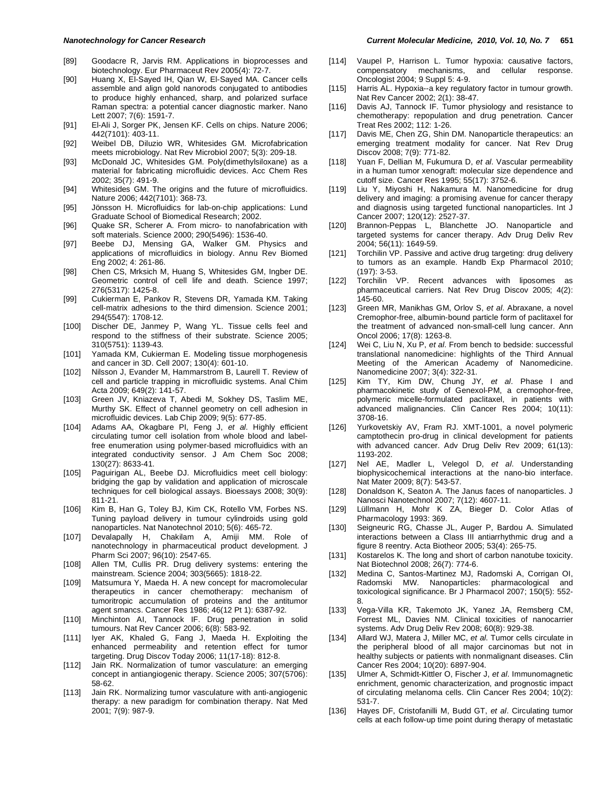- [89] Goodacre R, Jarvis RM. Applications in bioprocesses and biotechnology. Eur Pharmaceut Rev 2005(4): 72-7.
- [90] Huang X, El-Sayed IH, Qian W, El-Sayed MA. Cancer cells assemble and align gold nanorods conjugated to antibodies to produce highly enhanced, sharp, and polarized surface Raman spectra: a potential cancer diagnostic marker. Nano Lett 2007; 7(6): 1591-7.
- [91] El-Ali J, Sorger PK, Jensen KF. Cells on chips. Nature 2006; 442(7101): 403-11.
- [92] Weibel DB, Diluzio WR, Whitesides GM. Microfabrication meets microbiology. Nat Rev Microbiol 2007; 5(3): 209-18.
- [93] McDonald JC, Whitesides GM. Poly(dimethylsiloxane) as a material for fabricating microfluidic devices. Acc Chem Res 2002; 35(7): 491-9.
- [94] Whitesides GM. The origins and the future of microfluidics. Nature 2006; 442(7101): 368-73.
- [95] Jönsson H. Microfluidics for lab-on-chip applications: Lund Graduate School of Biomedical Research; 2002.
- [96] Quake SR, Scherer A. From micro- to nanofabrication with soft materials. Science 2000; 290(5496): 1536-40.
- [97] Beebe DJ, Mensing GA, Walker GM. Physics and applications of microfluidics in biology. Annu Rev Biomed Eng 2002; 4: 261-86.
- [98] Chen CS, Mrksich M, Huang S, Whitesides GM, Ingber DE. Geometric control of cell life and death. Science 1997; 276(5317): 1425-8.
- [99] Cukierman E, Pankov R, Stevens DR, Yamada KM. Taking cell-matrix adhesions to the third dimension. Science 2001; 294(5547): 1708-12.
- [100] Discher DE, Janmey P, Wang YL. Tissue cells feel and respond to the stiffness of their substrate. Science 2005; 310(5751): 1139-43.
- [101] Yamada KM, Cukierman E. Modeling tissue morphogenesis and cancer in 3D. Cell 2007; 130(4): 601-10.
- [102] Nilsson J, Evander M, Hammarstrom B, Laurell T. Review of cell and particle trapping in microfluidic systems. Anal Chim Acta 2009; 649(2): 141-57.
- [103] Green JV, Kniazeva T, Abedi M, Sokhey DS, Taslim ME, Murthy SK. Effect of channel geometry on cell adhesion in microfluidic devices. Lab Chip 2009; 9(5): 677-85.
- [104] Adams AA, Okagbare PI, Feng J, *et al*. Highly efficient circulating tumor cell isolation from whole blood and labelfree enumeration using polymer-based microfluidics with an integrated conductivity sensor. J Am Chem Soc 2008; 130(27): 8633-41.
- [105] Paguirigan AL, Beebe DJ. Microfluidics meet cell biology: bridging the gap by validation and application of microscale techniques for cell biological assays. Bioessays 2008; 30(9): 811-21.
- [106] Kim B, Han G, Toley BJ, Kim CK, Rotello VM, Forbes NS. Tuning payload delivery in tumour cylindroids using gold nanoparticles. Nat Nanotechnol 2010; 5(6): 465-72.
- [107] Devalapally H, Chakilam A, Amiji MM. Role of nanotechnology in pharmaceutical product development. J Pharm Sci 2007; 96(10): 2547-65.
- [108] Allen TM, Cullis PR. Drug delivery systems: entering the mainstream. Science 2004; 303(5665): 1818-22.
- [109] Matsumura Y, Maeda H. A new concept for macromolecular therapeutics in cancer chemotherapy: mechanism of tumoritropic accumulation of proteins and the antitumor agent smancs. Cancer Res 1986; 46(12 Pt 1): 6387-92.
- [110] Minchinton AI, Tannock IF. Drug penetration in solid tumours. Nat Rev Cancer 2006; 6(8): 583-92.
- [111] Iyer AK, Khaled G, Fang J, Maeda H. Exploiting the enhanced permeability and retention effect for tumor targeting. Drug Discov Today 2006; 11(17-18): 812-8.
- [112] Jain RK. Normalization of tumor vasculature: an emerging concept in antiangiogenic therapy. Science 2005; 307(5706): 58-62.
- [113] Jain RK. Normalizing tumor vasculature with anti-angiogenic therapy: a new paradigm for combination therapy. Nat Med 2001; 7(9): 987-9.
- [114] Vaupel P, Harrison L. Tumor hypoxia: causative factors, compensatory mechanisms, and cellular response. Oncologist 2004; 9 Suppl 5: 4-9.
- [115] Harris AL. Hypoxia--a key regulatory factor in tumour growth. Nat Rev Cancer 2002; 2(1): 38-47.
- [116] Davis AJ, Tannock IF. Tumor physiology and resistance to chemotherapy: repopulation and drug penetration. Cancer Treat Res 2002; 112: 1-26.
- [117] Davis ME, Chen ZG, Shin DM. Nanoparticle therapeutics: an emerging treatment modality for cancer. Nat Rev Drug Discov 2008; 7(9): 771-82.
- [118] Yuan F, Dellian M, Fukumura D, *et al*. Vascular permeability in a human tumor xenograft: molecular size dependence and cutoff size. Cancer Res 1995; 55(17): 3752-6.
- [119] Liu Y, Miyoshi H, Nakamura M. Nanomedicine for drug delivery and imaging: a promising avenue for cancer therapy and diagnosis using targeted functional nanoparticles. Int J Cancer 2007; 120(12): 2527-37.
- [120] Brannon-Peppas L, Blanchette JO. Nanoparticle and targeted systems for cancer therapy. Adv Drug Deliv Rev 2004; 56(11): 1649-59.
- [121] Torchilin VP. Passive and active drug targeting: drug delivery to tumors as an example. Handb Exp Pharmacol 2010; (197): 3-53.
- [122] Torchilin VP. Recent advances with liposomes as pharmaceutical carriers. Nat Rev Drug Discov 2005; 4(2): 145-60.
- [123] Green MR, Manikhas GM, Orlov S, *et al*. Abraxane, a novel Cremophor-free, albumin-bound particle form of paclitaxel for the treatment of advanced non-small-cell lung cancer. Ann Oncol 2006; 17(8): 1263-8.
- [124] Wei C, Liu N, Xu P, *et al*. From bench to bedside: successful translational nanomedicine: highlights of the Third Annual Meeting of the American Academy of Nanomedicine. Nanomedicine 2007; 3(4): 322-31.
- [125] Kim TY, Kim DW, Chung JY, *et al*. Phase I and pharmacokinetic study of Genexol-PM, a cremophor-free, polymeric micelle-formulated paclitaxel, in patients with advanced malignancies. Clin Cancer Res 2004; 10(11): 3708-16.
- [126] Yurkovetskiy AV, Fram RJ. XMT-1001, a novel polymeric camptothecin pro-drug in clinical development for patients with advanced cancer. Adv Drug Deliv Rev 2009; 61(13): 1193-202.
- [127] Nel AE, Madler L, Velegol D, *et al*. Understanding biophysicochemical interactions at the nano-bio interface. Nat Mater 2009; 8(7): 543-57.
- [128] Donaldson K, Seaton A. The Janus faces of nanoparticles. J Nanosci Nanotechnol 2007; 7(12): 4607-11.
- [129] Lüllmann H, Mohr K ZA, Bieger D. Color Atlas of Pharmacology 1993: 369.
- [130] Seigneuric RG, Chasse JL, Auger P, Bardou A. Simulated interactions between a Class III antiarrhythmic drug and a figure 8 reentry. Acta Biotheor 2005; 53(4): 265-75.
- [131] Kostarelos K. The long and short of carbon nanotube toxicity. Nat Biotechnol 2008; 26(7): 774-6.
- [132] Medina C, Santos-Martinez MJ, Radomski A, Corrigan OI, Radomski MW. Nanoparticles: pharmacological and toxicological significance. Br J Pharmacol 2007; 150(5): 552- 8.
- [133] Vega-Villa KR, Takemoto JK, Yanez JA, Remsberg CM, Forrest ML, Davies NM. Clinical toxicities of nanocarrier systems. Adv Drug Deliv Rev 2008; 60(8): 929-38.
- [134] Allard WJ, Matera J, Miller MC, *et al*. Tumor cells circulate in the peripheral blood of all major carcinomas but not in healthy subjects or patients with nonmalignant diseases. Clin Cancer Res 2004; 10(20): 6897-904.
- [135] Ulmer A, Schmidt-Kittler O, Fischer J, *et al*. Immunomagnetic enrichment, genomic characterization, and prognostic impact of circulating melanoma cells. Clin Cancer Res 2004; 10(2): 531-7.
- [136] Hayes DF, Cristofanilli M, Budd GT, *et al*. Circulating tumor cells at each follow-up time point during therapy of metastatic